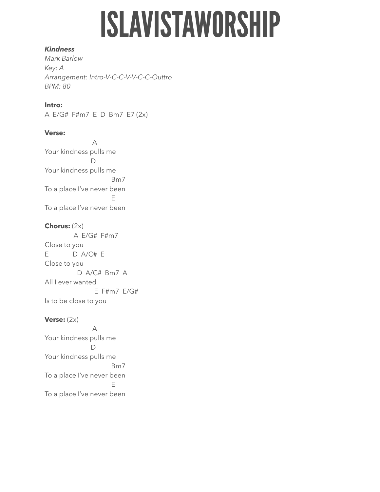# **ISLAVISTAWORSHIP**

#### *Kindness*

*Mark Barlow Key: A Arrangement: Intro-V-C-C-V-V-C-C-Outtro BPM: 80* 

### **Intro:**

A E/G# F#m7 E D Bm7 E7 (2x)

### **Verse:**

 A Your kindness pulls me D Your kindness pulls me Bm7 To a place I've never been Experience of the state of the E To a place I've never been

### **Chorus:** (2x)

 A E/G# F#m7 Close to you E D A/C# E Close to you D A/C# Bm7 A All I ever wanted E F#m7 E/G# Is to be close to you

### **Verse:**  $(2x)$

 A Your kindness pulls me D Your kindness pulls me Bm7 To a place I've never been Experience of the state of the E To a place I've never been